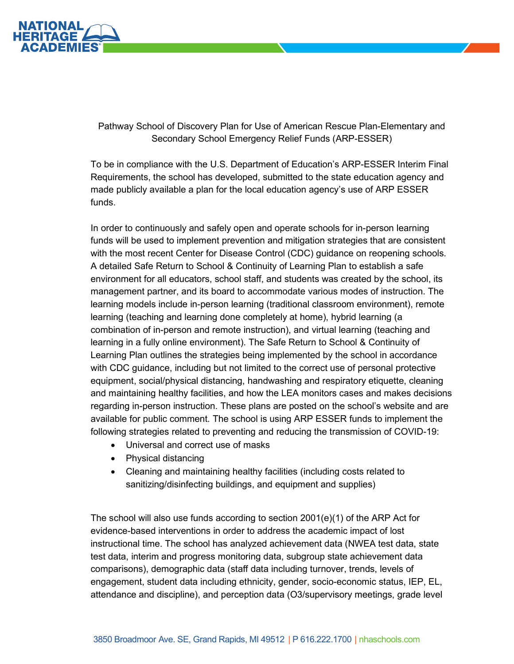

Pathway School of Discovery Plan for Use of American Rescue Plan-Elementary and Secondary School Emergency Relief Funds (ARP-ESSER)

To be in compliance with the U.S. Department of Education's ARP-ESSER Interim Final Requirements, the school has developed, submitted to the state education agency and made publicly available a plan for the local education agency's use of ARP ESSER funds.

In order to continuously and safely open and operate schools for in-person learning funds will be used to implement prevention and mitigation strategies that are consistent with the most recent Center for Disease Control (CDC) guidance on reopening schools. A detailed Safe Return to School & Continuity of Learning Plan to establish a safe environment for all educators, school staff, and students was created by the school, its management partner, and its board to accommodate various modes of instruction. The learning models include in-person learning (traditional classroom environment), remote learning (teaching and learning done completely at home), hybrid learning (a combination of in-person and remote instruction), and virtual learning (teaching and learning in a fully online environment). The Safe Return to School & Continuity of Learning Plan outlines the strategies being implemented by the school in accordance with CDC guidance, including but not limited to the correct use of personal protective equipment, social/physical distancing, handwashing and respiratory etiquette, cleaning and maintaining healthy facilities, and how the LEA monitors cases and makes decisions regarding in-person instruction. These plans are posted on the school's website and are available for public comment. The school is using ARP ESSER funds to implement the following strategies related to preventing and reducing the transmission of COVID-19:

- Universal and correct use of masks
- Physical distancing
- Cleaning and maintaining healthy facilities (including costs related to sanitizing/disinfecting buildings, and equipment and supplies)

The school will also use funds according to section 2001(e)(1) of the ARP Act for evidence-based interventions in order to address the academic impact of lost instructional time. The school has analyzed achievement data (NWEA test data, state test data, interim and progress monitoring data, subgroup state achievement data comparisons), demographic data (staff data including turnover, trends, levels of engagement, student data including ethnicity, gender, socio-economic status, IEP, EL, attendance and discipline), and perception data (O3/supervisory meetings, grade level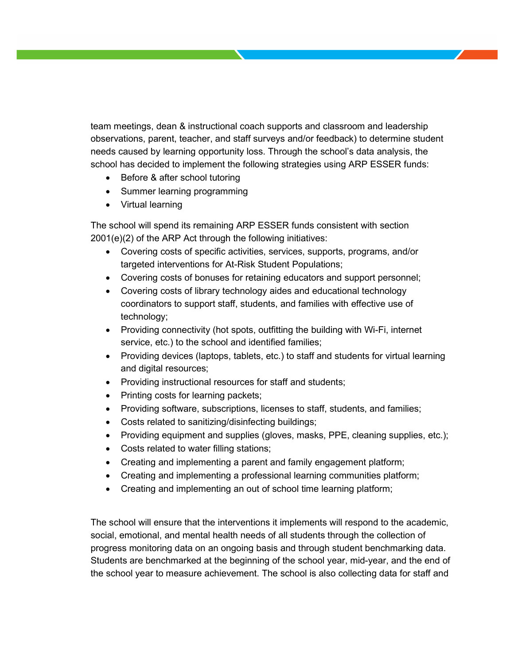team meetings, dean & instructional coach supports and classroom and leadership observations, parent, teacher, and staff surveys and/or feedback) to determine student needs caused by learning opportunity loss. Through the school's data analysis, the school has decided to implement the following strategies using ARP ESSER funds:

- Before & after school tutoring
- Summer learning programming
- Virtual learning

The school will spend its remaining ARP ESSER funds consistent with section 2001(e)(2) of the ARP Act through the following initiatives:

- Covering costs of specific activities, services, supports, programs, and/or targeted interventions for At-Risk Student Populations;
- Covering costs of bonuses for retaining educators and support personnel;
- Covering costs of library technology aides and educational technology coordinators to support staff, students, and families with effective use of technology;
- Providing connectivity (hot spots, outfitting the building with Wi-Fi, internet service, etc.) to the school and identified families;
- Providing devices (laptops, tablets, etc.) to staff and students for virtual learning and digital resources;
- Providing instructional resources for staff and students;
- Printing costs for learning packets;
- Providing software, subscriptions, licenses to staff, students, and families;
- Costs related to sanitizing/disinfecting buildings;
- Providing equipment and supplies (gloves, masks, PPE, cleaning supplies, etc.);
- Costs related to water filling stations;
- Creating and implementing a parent and family engagement platform;
- Creating and implementing a professional learning communities platform;
- Creating and implementing an out of school time learning platform;

The school will ensure that the interventions it implements will respond to the academic, social, emotional, and mental health needs of all students through the collection of progress monitoring data on an ongoing basis and through student benchmarking data. Students are benchmarked at the beginning of the school year, mid-year, and the end of the school year to measure achievement. The school is also collecting data for staff and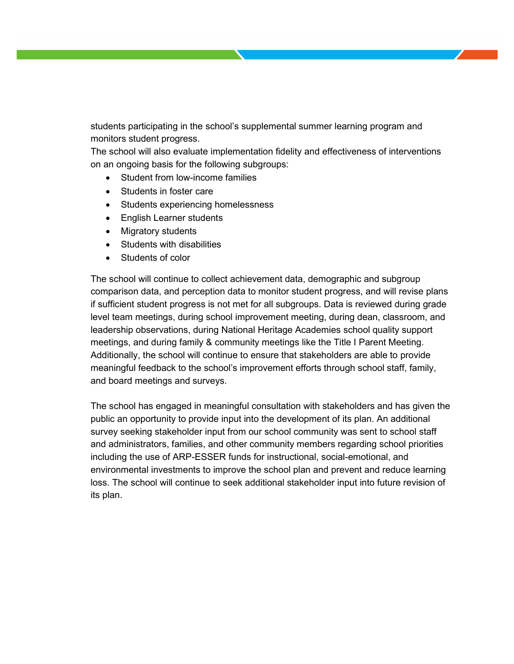students participating in the school's supplemental summer learning program and monitors student progress.

The school will also evaluate implementation fidelity and effectiveness of interventions on an ongoing basis for the following subgroups:

- Student from low-income families
- Students in foster care
- Students experiencing homelessness
- English Learner students
- Migratory students
- Students with disabilities
- Students of color

The school will continue to collect achievement data, demographic and subgroup comparison data, and perception data to monitor student progress, and will revise plans if sufficient student progress is not met for all subgroups. Data is reviewed during grade level team meetings, during school improvement meeting, during dean, classroom, and leadership observations, during National Heritage Academies school quality support meetings, and during family & community meetings like the Title I Parent Meeting. Additionally, the school will continue to ensure that stakeholders are able to provide meaningful feedback to the school's improvement efforts through school staff, family, and board meetings and surveys.

The school has engaged in meaningful consultation with stakeholders and has given the public an opportunity to provide input into the development of its plan. An additional survey seeking stakeholder input from our school community was sent to school staff and administrators, families, and other community members regarding school priorities including the use of ARP-ESSER funds for instructional, social-emotional, and environmental investments to improve the school plan and prevent and reduce learning loss. The school will continue to seek additional stakeholder input into future revision of its plan.